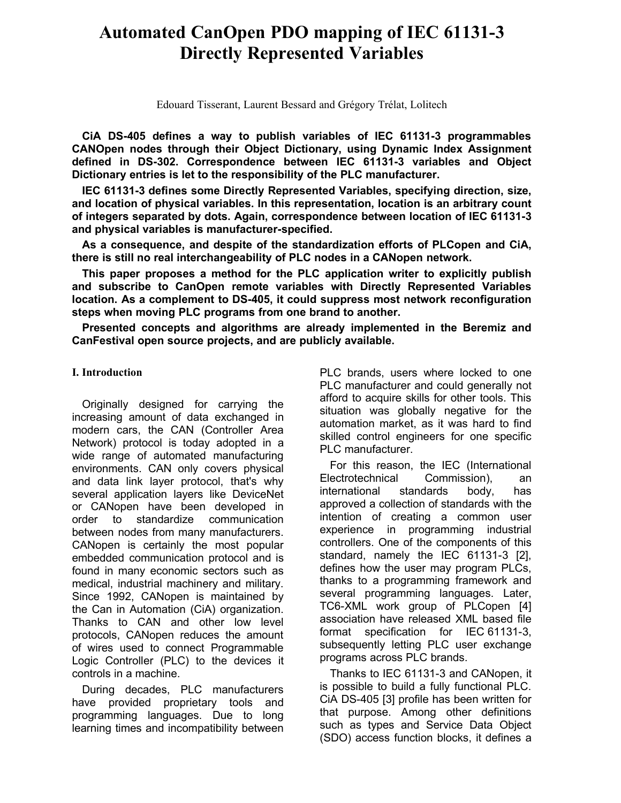# **Automated CanOpen PDO mapping of IEC 61131-3 Directly Represented Variables**

Edouard Tisserant, Laurent Bessard and Grégory Trélat, Lolitech

**CiA DS-405 defines a way to publish variables of IEC 61131-3 programmables CANOpen nodes through their Object Dictionary, using Dynamic Index Assignment defined in DS-302. Correspondence between IEC 61131-3 variables and Object Dictionary entries is let to the responsibility of the PLC manufacturer.**

**IEC 61131-3 defines some Directly Represented Variables, specifying direction, size, and location of physical variables. In this representation, location is an arbitrary count of integers separated by dots. Again, correspondence between location of IEC 61131-3 and physical variables is manufacturer-specified.** 

**As a consequence, and despite of the standardization efforts of PLCopen and CiA, there is still no real interchangeability of PLC nodes in a CANopen network.**

**This paper proposes a method for the PLC application writer to explicitly publish and subscribe to CanOpen remote variables with Directly Represented Variables location. As a complement to DS-405, it could suppress most network reconfiguration steps when moving PLC programs from one brand to another.**

**Presented concepts and algorithms are already implemented in the Beremiz and CanFestival open source projects, and are publicly available.**

### **I. Introduction**

Originally designed for carrying the increasing amount of data exchanged in modern cars, the CAN (Controller Area Network) protocol is today adopted in a wide range of automated manufacturing environments. CAN only covers physical and data link layer protocol, that's why several application layers like DeviceNet or CANopen have been developed in order to standardize communication between nodes from many manufacturers. CANopen is certainly the most popular embedded communication protocol and is found in many economic sectors such as medical, industrial machinery and military. Since 1992, CANopen is maintained by the Can in Automation (CiA) organization. Thanks to CAN and other low level protocols, CANopen reduces the amount of wires used to connect Programmable Logic Controller (PLC) to the devices it controls in a machine.

During decades, PLC manufacturers have provided proprietary tools and programming languages. Due to long learning times and incompatibility between PLC brands, users where locked to one PLC manufacturer and could generally not afford to acquire skills for other tools. This situation was globally negative for the automation market, as it was hard to find skilled control engineers for one specific PLC manufacturer.

For this reason, the IEC (International Electrotechnical Commission), an international standards body, has approved a collection of standards with the intention of creating a common user experience in programming industrial controllers. One of the components of this standard, namely the IEC 61131-3 [2], defines how the user may program PLCs, thanks to a programming framework and several programming languages. Later, TC6-XML work group of PLCopen [4] association have released XML based file format specification for IEC 61131-3, subsequently letting PLC user exchange programs across PLC brands.

Thanks to IEC 61131-3 and CANopen, it is possible to build a fully functional PLC. CiA DS-405 [3] profile has been written for that purpose. Among other definitions such as types and Service Data Object (SDO) access function blocks, it defines a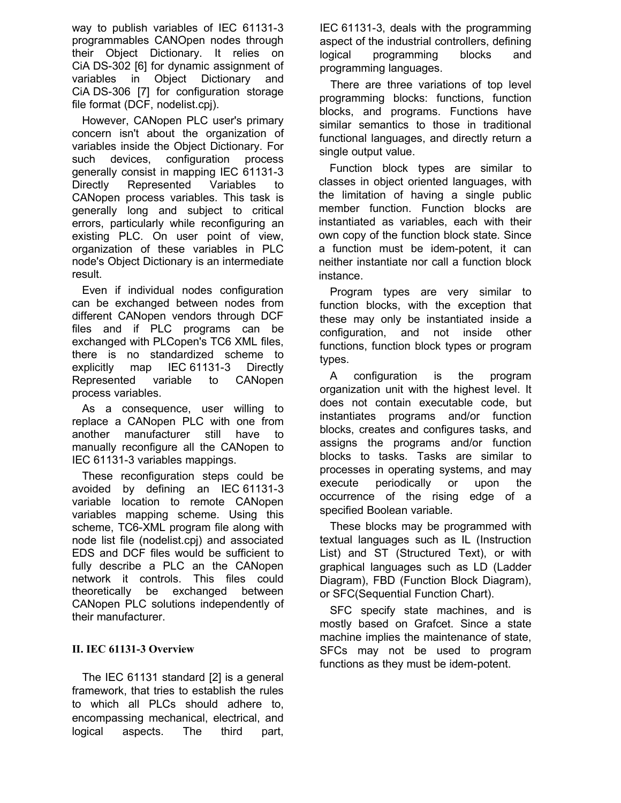way to publish variables of IEC 61131-3 programmables CANOpen nodes through their Object Dictionary. It relies on CiA DS-302 [6] for dynamic assignment of variables in Object Dictionary and CiA DS-306 [7] for configuration storage file format (DCF, nodelist.cpj).

However, CANopen PLC user's primary concern isn't about the organization of variables inside the Object Dictionary. For such devices, configuration process generally consist in mapping IEC 61131-3 Directly Represented Variables to CANopen process variables. This task is generally long and subject to critical errors, particularly while reconfiguring an existing PLC. On user point of view, organization of these variables in PLC node's Object Dictionary is an intermediate result.

Even if individual nodes configuration can be exchanged between nodes from different CANopen vendors through DCF files and if PLC programs can be exchanged with PLCopen's TC6 XML files, there is no standardized scheme to explicitly map IEC 61131-3 Directly Represented variable to CANopen process variables.

As a consequence, user willing to replace a CANopen PLC with one from another manufacturer still have to manually reconfigure all the CANopen to IEC 61131-3 variables mappings.

These reconfiguration steps could be avoided by defining an IEC 61131-3 variable location to remote CANopen variables mapping scheme. Using this scheme, TC6-XML program file along with node list file (nodelist.cpj) and associated EDS and DCF files would be sufficient to fully describe a PLC an the CANopen network it controls. This files could theoretically be exchanged between CANopen PLC solutions independently of their manufacturer.

# **II. IEC 61131-3 Overview**

The IEC 61131 standard [2] is a general framework, that tries to establish the rules to which all PLCs should adhere to, encompassing mechanical, electrical, and logical aspects. The third part,

IEC 61131-3, deals with the programming aspect of the industrial controllers, defining logical programming blocks and programming languages.

There are three variations of top level programming blocks: functions, function blocks, and programs. Functions have similar semantics to those in traditional functional languages, and directly return a single output value.

Function block types are similar to classes in object oriented languages, with the limitation of having a single public member function. Function blocks are instantiated as variables, each with their own copy of the function block state. Since a function must be idem-potent, it can neither instantiate nor call a function block instance.

Program types are very similar to function blocks, with the exception that these may only be instantiated inside a configuration, and not inside other functions, function block types or program types.

A configuration is the program organization unit with the highest level. It does not contain executable code, but instantiates programs and/or function blocks, creates and configures tasks, and assigns the programs and/or function blocks to tasks. Tasks are similar to processes in operating systems, and may execute periodically or upon the occurrence of the rising edge of a specified Boolean variable.

These blocks may be programmed with textual languages such as IL (Instruction List) and ST (Structured Text), or with graphical languages such as LD (Ladder Diagram), FBD (Function Block Diagram), or SFC(Sequential Function Chart).

SFC specify state machines, and is mostly based on Grafcet. Since a state machine implies the maintenance of state, SFCs may not be used to program functions as they must be idem-potent.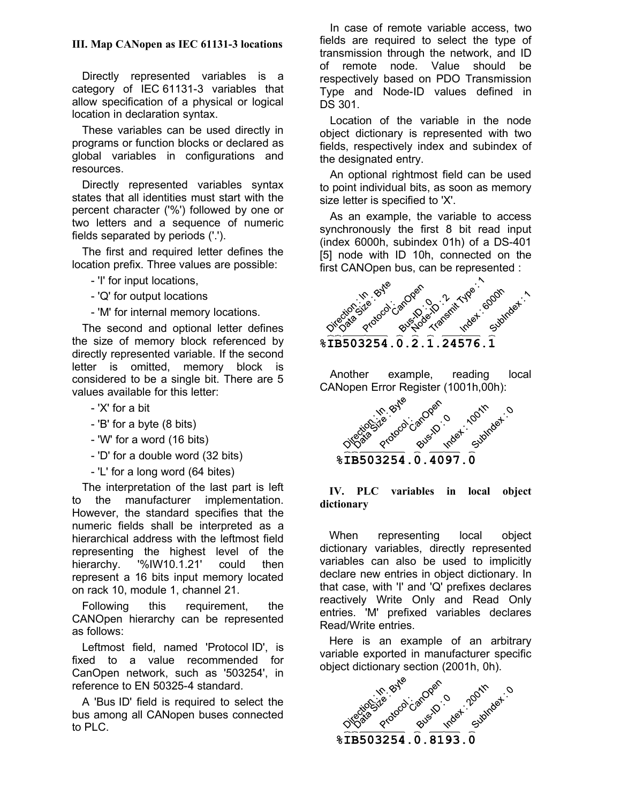# **III. Map CANopen as IEC 61131-3 locations**

Directly represented variables is a category of IEC 61131-3 variables that allow specification of a physical or logical location in declaration syntax.

These variables can be used directly in programs or function blocks or declared as global variables in configurations and resources.

Directly represented variables syntax states that all identities must start with the percent character ('%') followed by one or two letters and a sequence of numeric fields separated by periods ('.').

The first and required letter defines the location prefix. Three values are possible:

- 'I' for input locations,
- 'Q' for output locations
- 'M' for internal memory locations.

The second and optional letter defines the size of memory block referenced by directly represented variable. If the second letter is omitted, memory block is considered to be a single bit. There are 5 values available for this letter:

- 'X' for a bit
- 'B' for a byte (8 bits)
- 'W' for a word (16 bits)
- 'D' for a double word (32 bits)
- 'L' for a long word (64 bites)

The interpretation of the last part is left to the manufacturer implementation. However, the standard specifies that the numeric fields shall be interpreted as a hierarchical address with the leftmost field representing the highest level of the hierarchy. '%IW10.1.21' could then represent a 16 bits input memory located on rack 10, module 1, channel 21.

Following this requirement, the CANOpen hierarchy can be represented as follows:

Leftmost field, named 'Protocol ID', is fixed to a value recommended for CanOpen network, such as '503254', in reference to EN 50325-4 standard.

A 'Bus ID' field is required to select the bus among all CANopen buses connected to PLC.

In case of remote variable access, two fields are required to select the type of transmission through the network, and ID of remote node. Value should be respectively based on PDO Transmission Type and Node-ID values defined in DS 301.

Location of the variable in the node object dictionary is represented with two fields, respectively index and subindex of the designated entry.

An optional rightmost field can be used to point individual bits, as soon as memory size letter is specified to 'X'.

As an example, the variable to access synchronously the first 8 bit read input (index 6000h, subindex 01h) of a DS-401 [5] node with ID 10h, connected on the first CANOpen bus, can be represented :

| Union in Byle        | Protocol-anoven<br>Busines . 2012 | Transmit We<br>Inder Good | Subhaet. |  |
|----------------------|-----------------------------------|---------------------------|----------|--|
| <b>&amp;IB503254</b> |                                   |                           |          |  |

Another example, reading local CANopen Error Register (1001h,00h):



#### **IV. PLC variables in local object dictionary**

When representing local object dictionary variables, directly represented variables can also be used to implicitly declare new entries in object dictionary. In that case, with 'I' and 'Q' prefixes declares reactively Write Only and Read Only entries. 'M' prefixed variables declares Read/Write entries.

Here is an example of an arbitrary variable exported in manufacturer specific

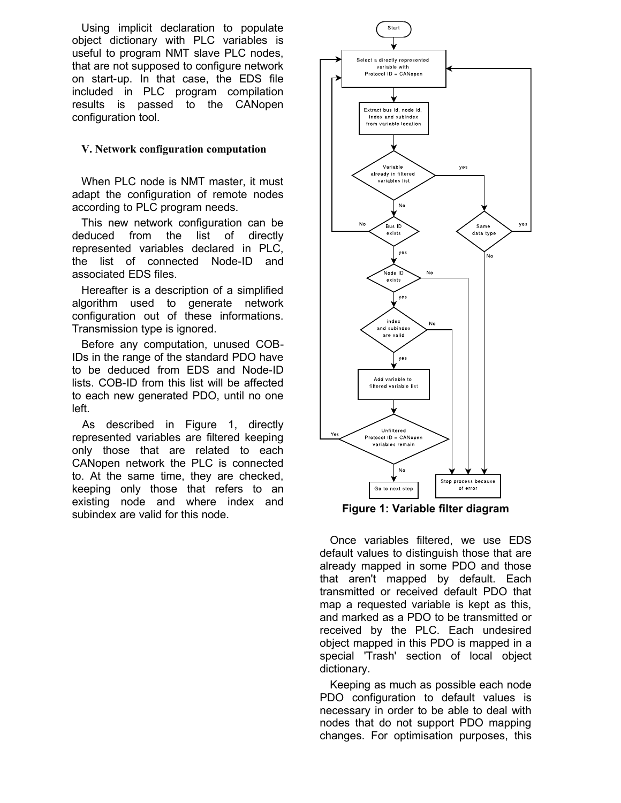Using implicit declaration to populate object dictionary with PLC variables is useful to program NMT slave PLC nodes, that are not supposed to configure network on start-up. In that case, the EDS file included in PLC program compilation results is passed to the CANopen configuration tool.

#### **V. Network configuration computation**

When PLC node is NMT master, it must adapt the configuration of remote nodes according to PLC program needs.

This new network configuration can be deduced from the list of directly represented variables declared in PLC, the list of connected Node-ID and associated EDS files.

Hereafter is a description of a simplified algorithm used to generate network configuration out of these informations. Transmission type is ignored.

Before any computation, unused COB-IDs in the range of the standard PDO have to be deduced from EDS and Node-ID lists. COB-ID from this list will be affected to each new generated PDO, until no one left.

As described in Figure 1, directly represented variables are filtered keeping only those that are related to each CANopen network the PLC is connected to. At the same time, they are checked, keeping only those that refers to an existing node and where index and subindex are valid for this node. **Figure 1: Variable filter diagram**



Once variables filtered, we use EDS default values to distinguish those that are already mapped in some PDO and those that aren't mapped by default. Each transmitted or received default PDO that map a requested variable is kept as this, and marked as a PDO to be transmitted or received by the PLC. Each undesired object mapped in this PDO is mapped in a special 'Trash' section of local object dictionary.

Keeping as much as possible each node PDO configuration to default values is necessary in order to be able to deal with nodes that do not support PDO mapping changes. For optimisation purposes, this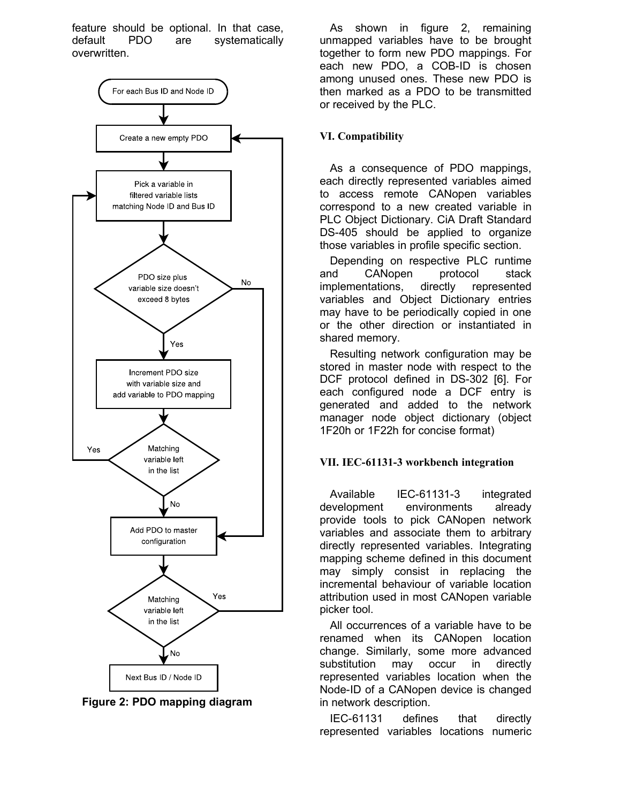feature should be optional. In that case, default PDO are systematically overwritten.



**Figure 2: PDO mapping diagram**

As shown in figure 2, remaining unmapped variables have to be brought together to form new PDO mappings. For each new PDO, a COB-ID is chosen among unused ones. These new PDO is then marked as a PDO to be transmitted or received by the PLC.

#### **VI. Compatibility**

As a consequence of PDO mappings, each directly represented variables aimed to access remote CANopen variables correspond to a new created variable in PLC Object Dictionary. CiA Draft Standard DS-405 should be applied to organize those variables in profile specific section.

Depending on respective PLC runtime and CANopen protocol stack implementations, directly represented variables and Object Dictionary entries may have to be periodically copied in one or the other direction or instantiated in shared memory.

Resulting network configuration may be stored in master node with respect to the DCF protocol defined in DS-302 [6]. For each configured node a DCF entry is generated and added to the network manager node object dictionary (object 1F20h or 1F22h for concise format)

#### **VII. IEC-61131-3 workbench integration**

Available IEC-61131-3 integrated development environments already provide tools to pick CANopen network variables and associate them to arbitrary directly represented variables. Integrating mapping scheme defined in this document may simply consist in replacing the incremental behaviour of variable location attribution used in most CANopen variable picker tool.

All occurrences of a variable have to be renamed when its CANopen location change. Similarly, some more advanced substitution may occur in directly represented variables location when the Node-ID of a CANopen device is changed in network description.

IEC-61131 defines that directly represented variables locations numeric